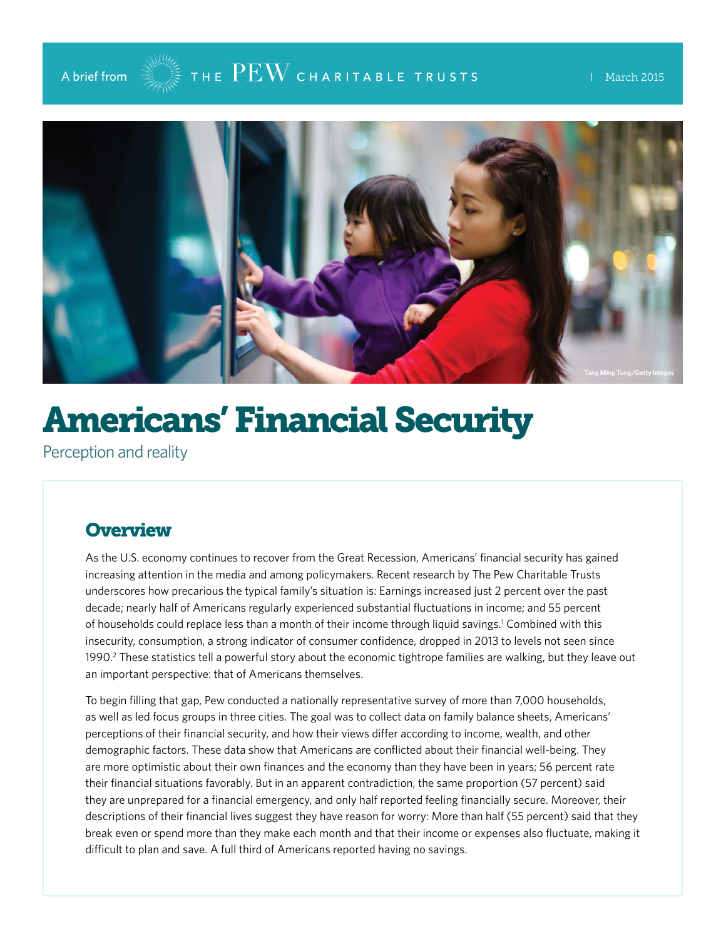

## A brief from  $\mathbb{R}^{\mathbb{M}}$  The  $\mathrm{PEW}$  charitable trusts the invarch 2015



# Americans' Financial Security

Perception and reality

#### **Overview**

As the U.S. economy continues to recover from the Great Recession, Americans' financial security has gained increasing attention in the media and among policymakers. Recent research by The Pew Charitable Trusts underscores how precarious the typical family's situation is: Earnings increased just 2 percent over the past decade; nearly half of Americans regularly experienced substantial fluctuations in income; and 55 percent of households could replace less than a month of their income through liquid savings.1 Combined with this insecurity, consumption, a strong indicator of consumer confidence, dropped in 2013 to levels not seen since 1990.<sup>2</sup> These statistics tell a powerful story about the economic tightrope families are walking, but they leave out an important perspective: that of Americans themselves.

To begin filling that gap, Pew conducted a nationally representative survey of more than 7,000 households, as well as led focus groups in three cities. The goal was to collect data on family balance sheets, Americans' perceptions of their financial security, and how their views differ according to income, wealth, and other demographic factors. These data show that Americans are conflicted about their financial well-being. They are more optimistic about their own finances and the economy than they have been in years; 56 percent rate their financial situations favorably. But in an apparent contradiction, the same proportion (57 percent) said they are unprepared for a financial emergency, and only half reported feeling financially secure. Moreover, their descriptions of their financial lives suggest they have reason for worry: More than half (55 percent) said that they break even or spend more than they make each month and that their income or expenses also fluctuate, making it difficult to plan and save. A full third of Americans reported having no savings.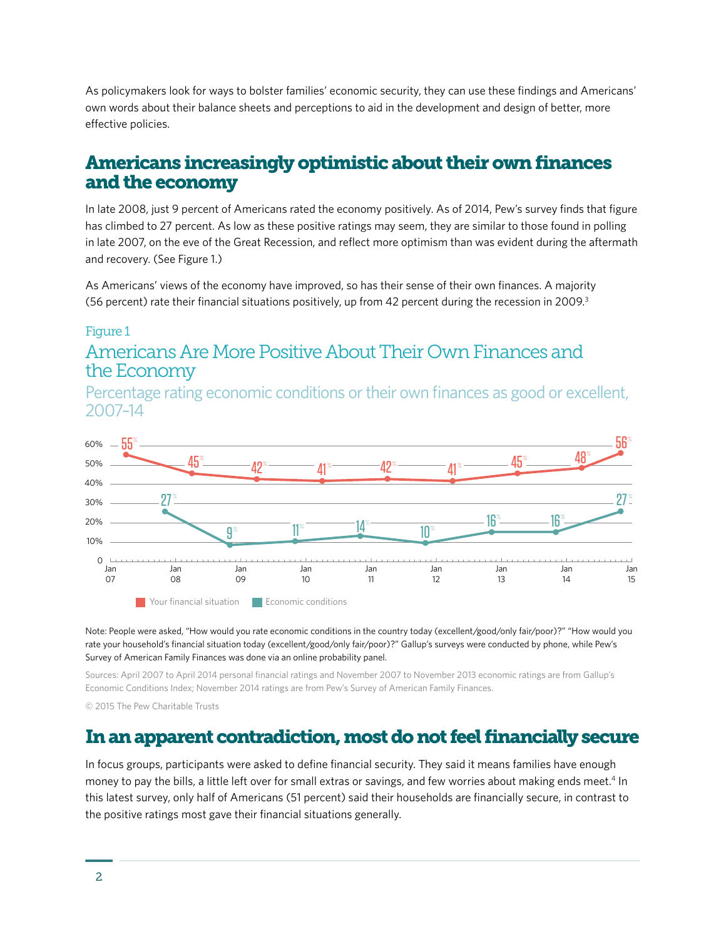As policymakers look for ways to bolster families' economic security, they can use these findings and Americans' own words about their balance sheets and perceptions to aid in the development and design of better, more effective policies.

#### Americans increasingly optimistic about their own finances and the economy

In late 2008, just 9 percent of Americans rated the economy positively. As of 2014, Pew's survey finds that figure has climbed to 27 percent. As low as these positive ratings may seem, they are similar to those found in polling in late 2007, on the eve of the Great Recession, and reflect more optimism than was evident during the aftermath and recovery. (See Figure 1.)

As Americans' views of the economy have improved, so has their sense of their own finances. A majority (56 percent) rate their financial situations positively, up from 42 percent during the recession in 2009.3

#### Figure 1

#### Americans Are More Positive About Their Own Finances and the Economy

Percentage rating economic conditions or their own finances as good or excellent, 2007–14



Note: People were asked, "How would you rate economic conditions in the country today (excellent/good/only fair/poor)?" "How would you rate your household's financial situation today (excellent/good/only fair/poor)?" Gallup's surveys were conducted by phone, while Pew's Survey of American Family Finances was done via an online probability panel.

Sources: April 2007 to April 2014 personal financial ratings and November 2007 to November 2013 economic ratings are from Gallup's Economic Conditions Index; November 2014 ratings are from Pew's Survey of American Family Finances.

© 2015 The Pew Charitable Trusts

#### In an apparent contradiction, most do not feel financially secure

In focus groups, participants were asked to define financial security. They said it means families have enough money to pay the bills, a little left over for small extras or savings, and few worries about making ends meet.<sup>4</sup> In this latest survey, only half of Americans (51 percent) said their households are financially secure, in contrast to the positive ratings most gave their financial situations generally.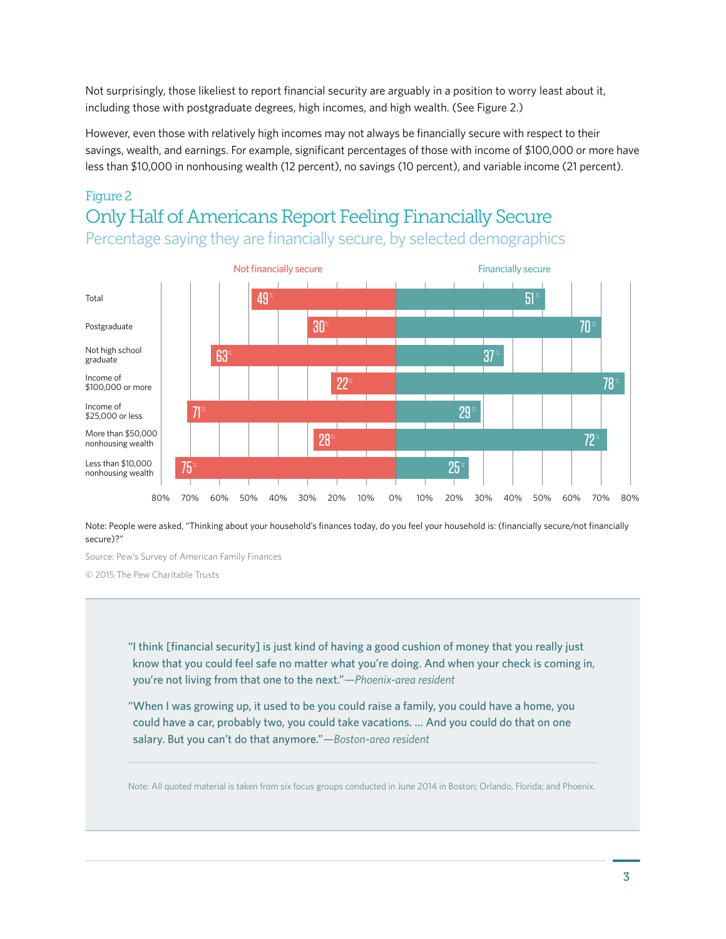Not surprisingly, those likeliest to report financial security are arguably in a position to worry least about it, including those with postgraduate degrees, high incomes, and high wealth. (See Figure 2.)

However, even those with relatively high incomes may not always be financially secure with respect to their savings, wealth, and earnings. For example, significant percentages of those with income of \$100,000 or more have less than \$10,000 in nonhousing wealth (12 percent), no savings (10 percent), and variable income (21 percent).

#### Figure 2 Only Half of Americans Report Feeling Financially Secure Percentage saying they are financially secure, by selected demographics



Note: People were asked, "Thinking about your household's finances today, do you feel your household is: (financially secure/not financially secure)?"

Source: Pew's Survey of American Family Finances

© 2015 The Pew Charitable Trusts

"I think [financial security] is just kind of having a good cushion of money that you really just know that you could feel safe no matter what you're doing. And when your check is coming in, you're not living from that one to the next."*—Phoenix-area resident*

"When I was growing up, it used to be you could raise a family, you could have a home, you could have a car, probably two, you could take vacations. … And you could do that on one salary. But you can't do that anymore."*—Boston-area resident*

Note: All quoted material is taken from six focus groups conducted in June 2014 in Boston; Orlando, Florida; and Phoenix.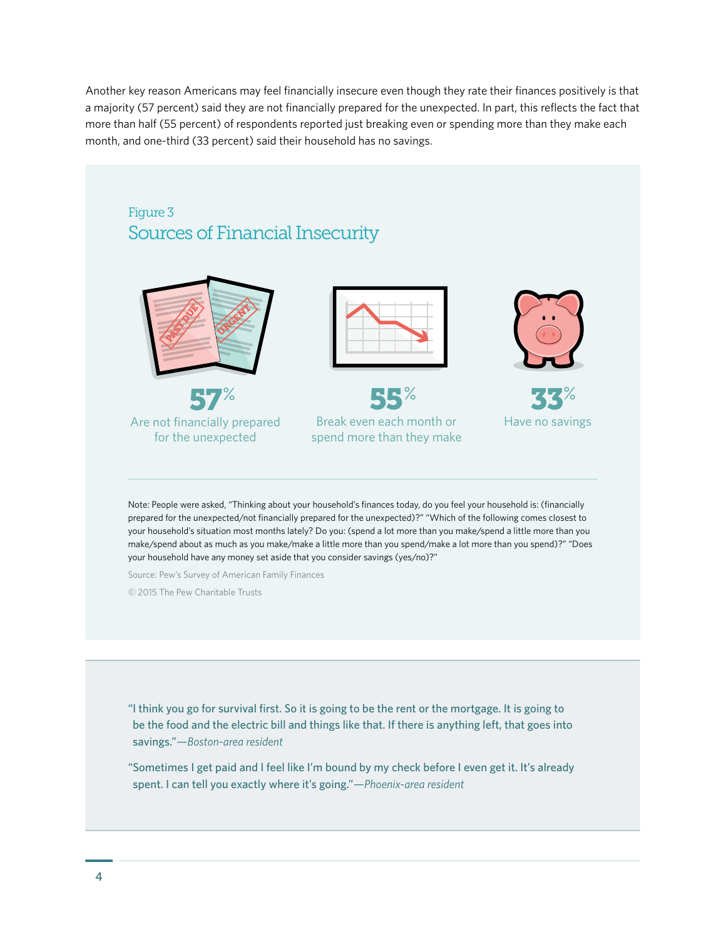Another key reason Americans may feel financially insecure even though they rate their finances positively is that a majority (57 percent) said they are not financially prepared for the unexpected. In part, this reflects the fact that more than half (55 percent) of respondents reported just breaking even or spending more than they make each month, and one-third (33 percent) said their household has no savings.

#### Figure 3 Sources of Financial Insecurity



Are not financially prepared for the unexpected



55% Break even each month or spend more than they make



33% Have no savings

Note: People were asked, "Thinking about your household's finances today, do you feel your household is: (financially prepared for the unexpected/not financially prepared for the unexpected)?" "Which of the following comes closest to your household's situation most months lately? Do you: (spend a lot more than you make/spend a little more than you make/spend about as much as you make/make a little more than you spend/make a lot more than you spend)?" "Does your household have any money set aside that you consider savings (yes/no)?"

Source: Pew's Survey of American Family Finances

© 2015 The Pew Charitable Trusts

"I think you go for survival first. So it is going to be the rent or the mortgage. It is going to be the food and the electric bill and things like that. If there is anything left, that goes into savings."*—Boston-area resident*

"Sometimes I get paid and I feel like I'm bound by my check before I even get it. It's already spent. I can tell you exactly where it's going."*—Phoenix-area resident*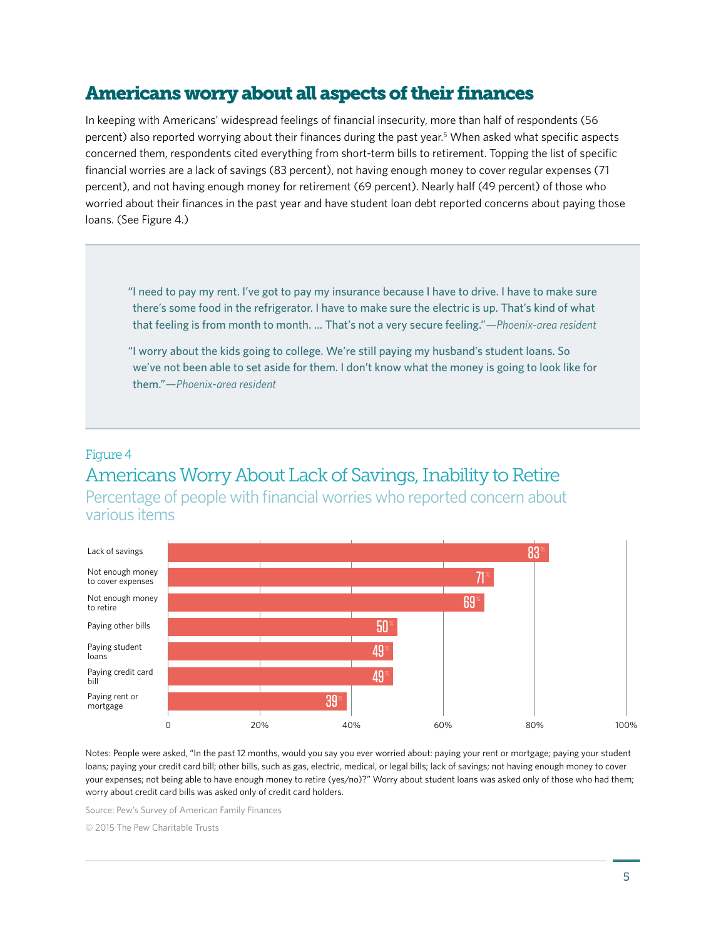#### Americans worry about all aspects of their finances

In keeping with Americans' widespread feelings of financial insecurity, more than half of respondents (56 percent) also reported worrying about their finances during the past year.<sup>5</sup> When asked what specific aspects concerned them, respondents cited everything from short-term bills to retirement. Topping the list of specific financial worries are a lack of savings (83 percent), not having enough money to cover regular expenses (71 percent), and not having enough money for retirement (69 percent). Nearly half (49 percent) of those who worried about their finances in the past year and have student loan debt reported concerns about paying those loans. (See Figure 4.)

"I need to pay my rent. I've got to pay my insurance because I have to drive. I have to make sure there's some food in the refrigerator. I have to make sure the electric is up. That's kind of what that feeling is from month to month. … That's not a very secure feeling."*—Phoenix-area resident*

"I worry about the kids going to college. We're still paying my husband's student loans. So we've not been able to set aside for them. I don't know what the money is going to look like for them."*—Phoenix-area resident*

#### Figure 4

## Americans Worry About Lack of Savings, Inability to Retire

Percentage of people with financial worries who reported concern about various items



Notes: People were asked, "In the past 12 months, would you say you ever worried about: paying your rent or mortgage; paying your student loans; paying your credit card bill; other bills, such as gas, electric, medical, or legal bills; lack of savings; not having enough money to cover your expenses; not being able to have enough money to retire (yes/no)?" Worry about student loans was asked only of those who had them; worry about credit card bills was asked only of credit card holders.

Source: Pew's Survey of American Family Finances

© 2015 The Pew Charitable Trusts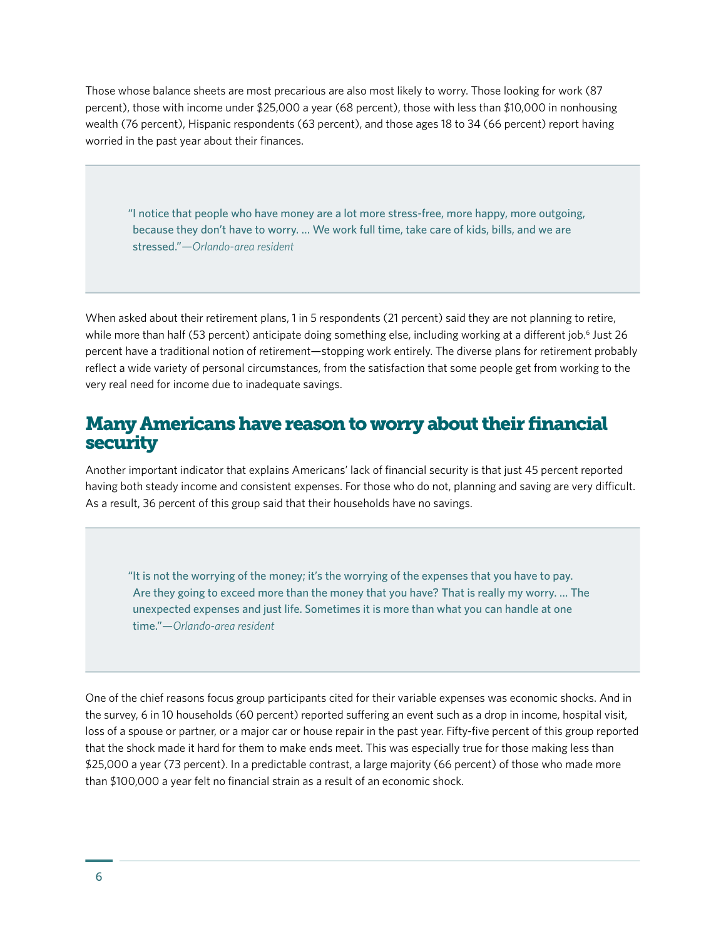Those whose balance sheets are most precarious are also most likely to worry. Those looking for work (87 percent), those with income under \$25,000 a year (68 percent), those with less than \$10,000 in nonhousing wealth (76 percent), Hispanic respondents (63 percent), and those ages 18 to 34 (66 percent) report having worried in the past year about their finances.

"I notice that people who have money are a lot more stress-free, more happy, more outgoing, because they don't have to worry. … We work full time, take care of kids, bills, and we are stressed."*—Orlando-area resident*

When asked about their retirement plans, 1 in 5 respondents (21 percent) said they are not planning to retire, while more than half (53 percent) anticipate doing something else, including working at a different job.<sup>6</sup> Just 26 percent have a traditional notion of retirement—stopping work entirely. The diverse plans for retirement probably reflect a wide variety of personal circumstances, from the satisfaction that some people get from working to the very real need for income due to inadequate savings.

#### Many Americans have reason to worry about their financial security

Another important indicator that explains Americans' lack of financial security is that just 45 percent reported having both steady income and consistent expenses. For those who do not, planning and saving are very difficult. As a result, 36 percent of this group said that their households have no savings.

"It is not the worrying of the money; it's the worrying of the expenses that you have to pay. Are they going to exceed more than the money that you have? That is really my worry. … The unexpected expenses and just life. Sometimes it is more than what you can handle at one time."*—Orlando-area resident*

One of the chief reasons focus group participants cited for their variable expenses was economic shocks. And in the survey, 6 in 10 households (60 percent) reported suffering an event such as a drop in income, hospital visit, loss of a spouse or partner, or a major car or house repair in the past year. Fifty-five percent of this group reported that the shock made it hard for them to make ends meet. This was especially true for those making less than \$25,000 a year (73 percent). In a predictable contrast, a large majority (66 percent) of those who made more than \$100,000 a year felt no financial strain as a result of an economic shock.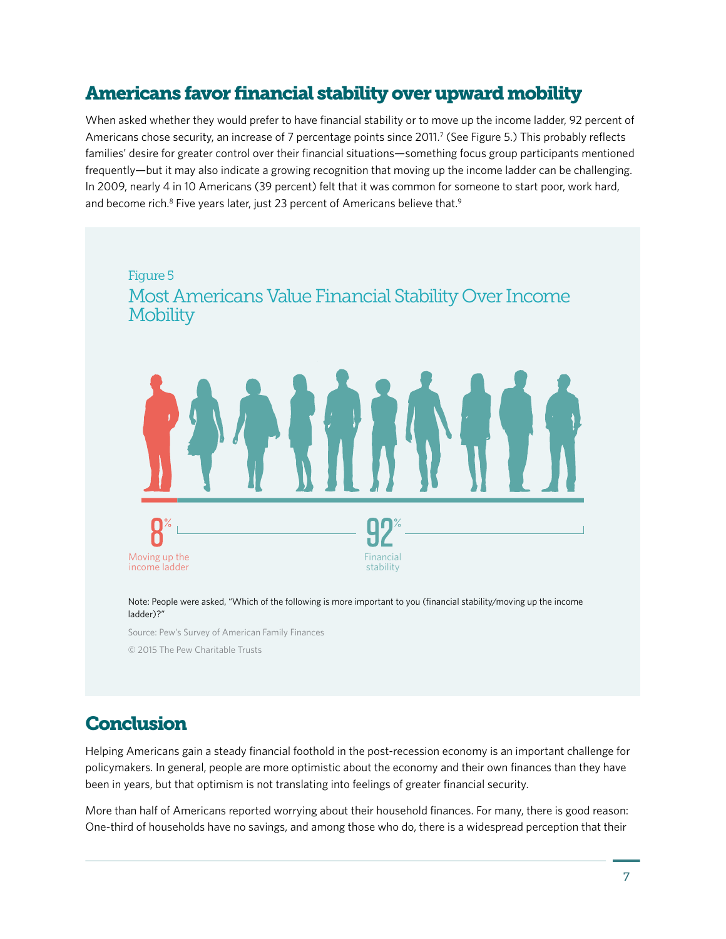### Americans favor financial stability over upward mobility

When asked whether they would prefer to have financial stability or to move up the income ladder, 92 percent of Americans chose security, an increase of 7 percentage points since 2011.<sup>7</sup> (See Figure 5.) This probably reflects families' desire for greater control over their financial situations—something focus group participants mentioned frequently—but it may also indicate a growing recognition that moving up the income ladder can be challenging. In 2009, nearly 4 in 10 Americans (39 percent) felt that it was common for someone to start poor, work hard, and become rich.<sup>8</sup> Five years later, just 23 percent of Americans believe that.<sup>9</sup>



Note: People were asked, "Which of the following is more important to you (financial stability/moving up the income ladder)?"

Source: Pew's Survey of American Family Finances

© 2015 The Pew Charitable Trusts

#### **Conclusion**

Helping Americans gain a steady financial foothold in the post-recession economy is an important challenge for policymakers. In general, people are more optimistic about the economy and their own finances than they have been in years, but that optimism is not translating into feelings of greater financial security.

More than half of Americans reported worrying about their household finances. For many, there is good reason: One-third of households have no savings, and among those who do, there is a widespread perception that their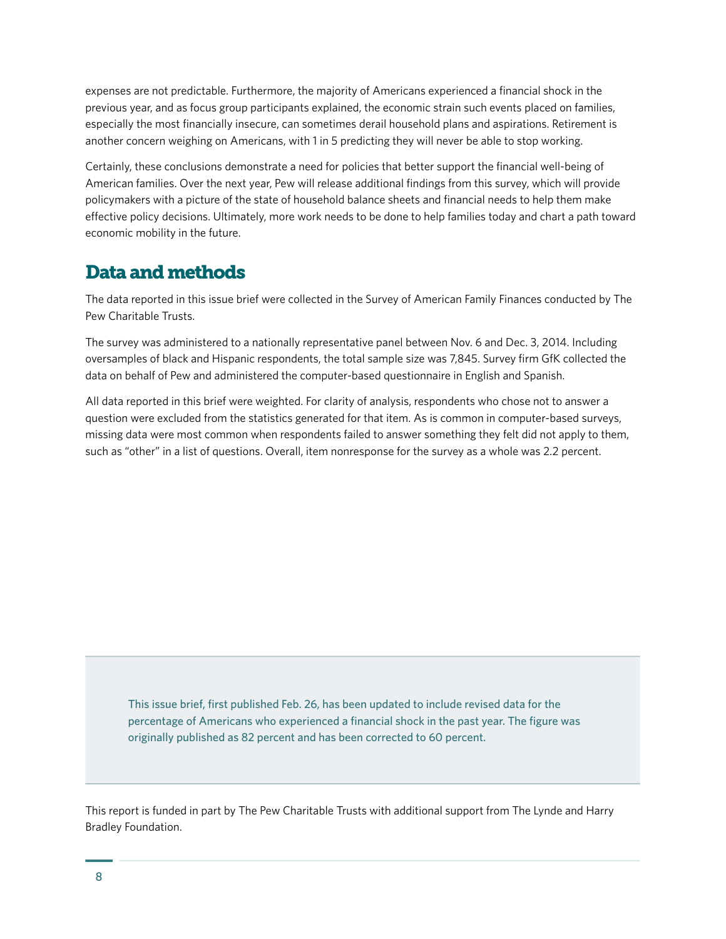expenses are not predictable. Furthermore, the majority of Americans experienced a financial shock in the previous year, and as focus group participants explained, the economic strain such events placed on families, especially the most financially insecure, can sometimes derail household plans and aspirations. Retirement is another concern weighing on Americans, with 1 in 5 predicting they will never be able to stop working.

Certainly, these conclusions demonstrate a need for policies that better support the financial well-being of American families. Over the next year, Pew will release additional findings from this survey, which will provide policymakers with a picture of the state of household balance sheets and financial needs to help them make effective policy decisions. Ultimately, more work needs to be done to help families today and chart a path toward economic mobility in the future.

#### Data and methods

The data reported in this issue brief were collected in the Survey of American Family Finances conducted by The Pew Charitable Trusts.

The survey was administered to a nationally representative panel between Nov. 6 and Dec. 3, 2014. Including oversamples of black and Hispanic respondents, the total sample size was 7,845. Survey firm GfK collected the data on behalf of Pew and administered the computer-based questionnaire in English and Spanish.

All data reported in this brief were weighted. For clarity of analysis, respondents who chose not to answer a question were excluded from the statistics generated for that item. As is common in computer-based surveys, missing data were most common when respondents failed to answer something they felt did not apply to them, such as "other" in a list of questions. Overall, item nonresponse for the survey as a whole was 2.2 percent.

This issue brief, first published Feb. 26, has been updated to include revised data for the percentage of Americans who experienced a financial shock in the past year. The figure was originally published as 82 percent and has been corrected to 60 percent.

This report is funded in part by The Pew Charitable Trusts with additional support from The Lynde and Harry Bradley Foundation.